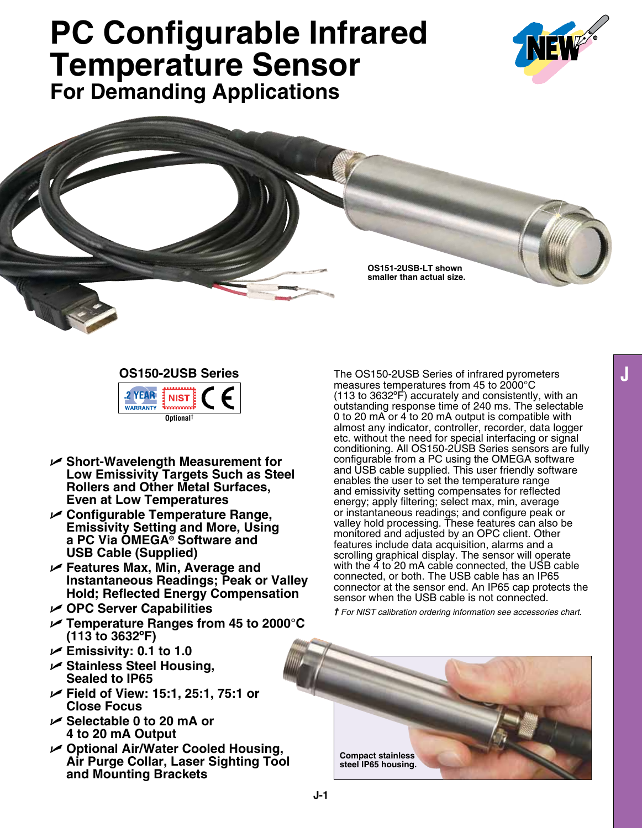# **PC Configurable Infrared Temperature Sensor For Demanding Applications**



**OS151-2USB-LT shown smaller than actual size.**

## **OS150-2USB Series**



- U **Short-Wavelength Measurement for Low Emissivity Targets Such as Steel Rollers and Other Metal Surfaces, Even at Low Temperatures**
- U **Configurable Temperature Range, Emissivity Setting and More, Using a PC Via Omega® Software and USB Cable (Supplied)**
- U **Features Max, Min, Average and Instantaneous Readings; Peak or Valley Hold; Reflected Energy Compensation**
- U **OPC Server Capabilities**
- U **Temperature Ranges from 45 to 2000°C (113 to 3632ºF)**
- U **Emissivity: 0.1 to 1.0**
- U **Stainless Steel Housing, Sealed to IP65**
- U **Field of View: 15:1, 25:1, 75:1 or Close Focus**
- U **Selectable 0 to 20 mA or 4 to 20 mA Output**
- U **Optional Air/Water Cooled Housing, Air Purge Collar, Laser Sighting Tool and Mounting Brackets**

The OS150-2USB Series of infrared pyrometers measures temperatures from 45 to 2000°C (113 to 3632ºF) accurately and consistently, with an outstanding response time of 240 ms. The selectable 0 to 20 mA or 4 to 20 mA output is compatible with almost any indicator, controller, recorder, data logger etc. without the need for special interfacing or signal conditioning. All OS150-2USB Series sensors are fully configurable from a PC using the OMEGA software and USB cable supplied. This user friendly software enables the user to set the temperature range and emissivity setting compensates for reflected energy; apply filtering; select max, min, average or instantaneous readings; and configure peak or valley hold processing. These features can also be monitored and adjusted by an OPC client. Other features include data acquisition, alarms and a scrolling graphical display. The sensor will operate with the 4 to 20 mA cable connected, the USB cable connected, or both. The USB cable has an IP65 connector at the sensor end. An IP65 cap protects the sensor when the USB cable is not connected.

*† For NIST calibration ordering information see accessories chart.*

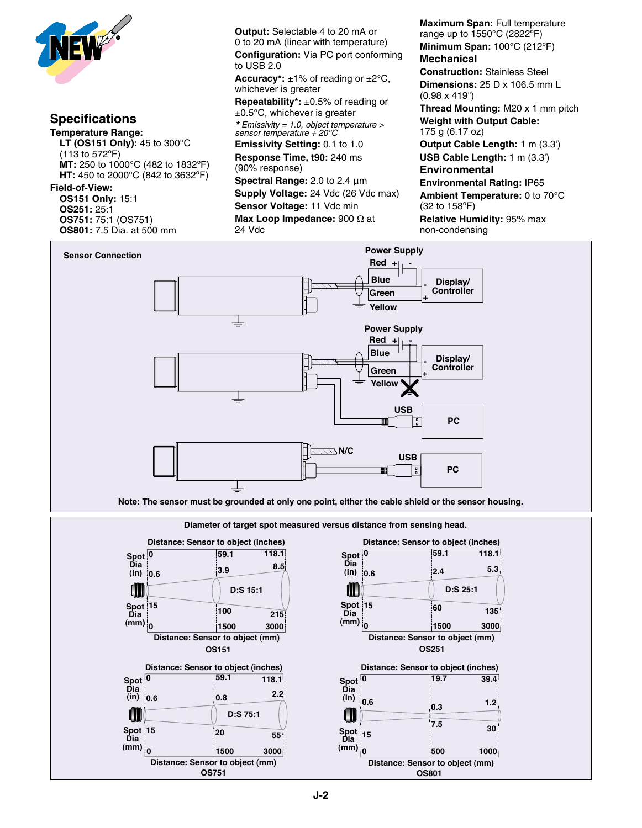

#### **Specifications Temperature Range: LT (OS151 Only):** 45 to 300°C (113 to 572ºF) **MT:** 250 to 1000°C (482 to 1832ºF) **HT:** 450 to 2000°C (842 to 3632ºF) **Field-of-View: OS151 Only:** 15:1 **OS251:** 25:1 **OS751:** 75:1 (OS751)

**OS801:** 7.5 Dia. at 500 mm

**Output:** Selectable 4 to 20 mA or 0 to 20 mA (linear with temperature) **Configuration:** Via PC port conforming to USB 2.0

**Accuracy\*:**  $\pm 1\%$  of reading or  $\pm 2\degree C$ , whichever is greater

**Repeatability\*:** ±0.5% of reading or ±0.5°C, whichever is greater

*\* Emissivity = 1.0, object temperature > sensor temperature + 20°C*

**Emissivity Setting:** 0.1 to 1.0 **Response Time, t90:** 240 ms (90% response)

**Spectral Range:** 2.0 to 2.4 μm **Supply Voltage:** 24 Vdc (26 Vdc max) **Sensor Voltage:** 11 Vdc min **Max Loop Impedance:** 900 Ω at **Fow** 24 Vdc

**Maximum Span:** Full temperature range up to 1550°C (2822ºF) **Minimum Span:** 100°C (212ºF) **Mechanical Construction:** Stainless Steel **Dimensions:** 25 D x 106.5 mm L (0.98 x 419") **Thread Mounting:** M20 x 1 mm pitch **Weight with Output Cable:** 175 g (6.17 oz) **Output Cable Length:** 1 m (3.3') **USB Cable Length:** 1 m (3.3') **Environmental Environmental Rating:** IP65 **Ambient Temperature:** 0 to 70°C (32 to 158ºF) **Relative Humidity:** 95% max

non-condensing



**<sup>15</sup> <sup>60</sup> <sup>135</sup>**  $\begin{array}{|c|c|c|c|}\n\hline\n\text{(in)} & \text{o.6} & \text{2.4}\n\hline\n\end{array}$ **59.1 1500** 300 **Distance: Sensor to object (inches) Distance: Sensor to object (inches) 0.6 3.9 8.5 0.6 3.9 8.5 Distance: Sensor to object (inches) Distance: Sensor to object (inches) Distance: Sensor to object (mm) Distance: Sensor to object (mm) <sup>15</sup> <sup>100</sup> <sup>215</sup> 0.6 3.9 8.5 0 59.1 0 59.1 59.1 118.1 118.1 0 1500 3000 0 1500 3000 0 1500 3000 0 1500 3000 D:S 15:1 D:S 25:1 <sup>15</sup> <sup>20</sup> <sup>55</sup> Distance: Sensor to object (mm) Distance: Sensor to object (mm) 0.6 0.8 2.2 D:S 75:1 D:S 75:1 0.6 0.8 2.2 0 (in) Spot 7.5 <sup>30</sup>**  $\begin{bmatrix} 2.5 \\ 3.3 \end{bmatrix}$  $\binom{10}{36}$  **39.4 39.4 39.4 39.4 39.4 39.4 39.4 39.4 39.4 39.4 39.4 39.4 39.4 39.4 39.4 39.4 39.4 39.4 39.4 39.4 39.4 39.4 39.4 39.4 39.4 39.4 39.4 39.4 39.4 39.4 0 500 1000 0 500 1000 Spot (in) Dia (in) Spot Dia (mm) Spot (in) Dia (in) Spot (mm) OS151 OS251 <sup>15</sup> <sup>60</sup> <sup>135</sup> <sup>15</sup> <sup>60</sup> <sup>135</sup> D:S 15:1 D:S 25:1 1.6 2.4 5.59.1 5.4 2.4 5.59.1 0 59.1 118.1 15 160** Diameter of target spot measured versus distance from sensing head. **Distance: Sensor to object (inches)**<br>0<br>**118.1**<br>**2 Distance: Sensor to object (mm) Distance: Sensor to object (mm) 1 1 1 15:1 1 1 1 59.1 118.1 59.1 118.1 15 100 0 1500 3000**  $\overline{\text{on}}$  **D:S**  $\overline{\text{on}}$  **D:S**  $\overline{\text{on}}$  **D:S**  $\overline{\text{on}}$  **D:S**  $\overline{\text{on}}$  **D:S**  $\overline{\text{on}}$  **D:S**  $\overline{\text{on}}$  **D:S**  $\overline{\text{on}}$  **D:S**  $\overline{\text{on}}$  **D:S**  $\overline{\text{on}}$  **D:S**  $\overline{\text{on}}$  **D:S**  $\overline{\text{on}}$  **D:S**  $\overline{\text{on}}$  **D:S <sup>15</sup> <sup>20</sup> <sup>55</sup> 0.6 0.8 2.2 0 15 Spot**  $7.5$ **0.6 0.3 1.2 0 19.7 39.4 Spot Dia 0 500 1000 Spot Dia (mm) Spot Dia Spot Dia OSIT 1500 OSIT 3000 OS751 OS 0.6 2.4 2.4 2.4 2.59.1 118.**1 **0 59.1 118.1 15 130 1360 136 Distance: Sensor to object (inches)**<br>0 **19.7 39.4 Distance: Sensor to object (mm)**  $p$  and  $p$  to object  $p$  is object (mm) **Distance:** Sensor to object (mm) **Distance:** Sensor to object (mm) **listance: Sensor to object (i**  $\overline{100}$ **1500 2000**<br> **Distance: Sensor to object (mm)**<br> **CETE1**  $\overline{\text{C}}$  **D:S**  $\overline{\text{D}}$  (in)  $\overline{\text{D}}$  **D:S** 2.4 **<sup>15</sup> <sup>20</sup> <sup>55</sup> 0.6 0.8 2.2 15 7.5 <sup>30</sup> 0.6 0.3 1.2 0 19.7 39.4 0 500 1000 Spot Dia (mm) Spot Spot Dia Spot (mm) (in) Spot Dia (mm) Spot OS151 OS251 OS751 OS801 <sup>15</sup> <sup>60</sup> <sup>135</sup> 0.6 2.4 5.3 0 59.1 118.1 0 1500 3000 Distance: Sensor to object (inches) Distance: Sensor to object (inches) Distance: Sensor to object (inches) Distance: Sensor to object (inches) Distance: Sensor to object (mm) Distance: Sensor to object (mm) <sup>15</sup> <sup>100</sup> <sup>215</sup>**  $\begin{array}{|c|c|c|}\n\hline\n & 3.9 & \hline\n\end{array}$ **59.1 118.1** 55<sup>:</sup> **7.5 <sup>30</sup> 0.6 0.3 1.2 1.8 1.2 (in) (mm) Dia (in) Dia (mm) Dia (in) Spot Dia (in) OS151 OS251**